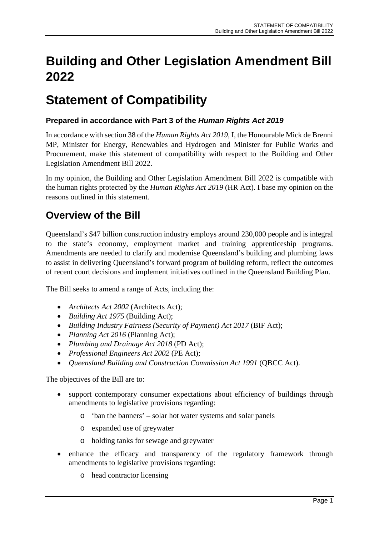# **Building and Other Legislation Amendment Bill 2022**

# **Statement of Compatibility**

# **Prepared in accordance with Part 3 of the** *Human Rights Act 2019*

In accordance with section 38 of the *Human Rights Act 2019*, I, the Honourable Mick de Brenni MP, Minister for Energy, Renewables and Hydrogen and Minister for Public Works and Procurement, make this statement of compatibility with respect to the Building and Other Legislation Amendment Bill 2022.

In my opinion, the Building and Other Legislation Amendment Bill 2022 is compatible with the human rights protected by the *Human Rights Act 2019* (HR Act). I base my opinion on the reasons outlined in this statement.

# **Overview of the Bill**

Queensland's \$47 billion construction industry employs around 230,000 people and is integral to the state's economy, employment market and training apprenticeship programs. Amendments are needed to clarify and modernise Queensland's building and plumbing laws to assist in delivering Queensland's forward program of building reform, reflect the outcomes of recent court decisions and implement initiatives outlined in the Queensland Building Plan.

The Bill seeks to amend a range of Acts, including the:

- *Architects Act 2002* (Architects Act)*;*
- *Building Act 1975* (Building Act);
- *Building Industry Fairness (Security of Payment) Act 2017* (BIF Act);
- *Planning Act 2016* (Planning Act);
- *Plumbing and Drainage Act 2018* (PD Act);
- *Professional Engineers Act 2002* (PE Act);
- *Queensland Building and Construction Commission Act 1991* (QBCC Act).

The objectives of the Bill are to:

- support contemporary consumer expectations about efficiency of buildings through amendments to legislative provisions regarding:
	- o 'ban the banners' solar hot water systems and solar panels
	- o expanded use of greywater
	- o holding tanks for sewage and greywater
- enhance the efficacy and transparency of the regulatory framework through amendments to legislative provisions regarding:
	- o head contractor licensing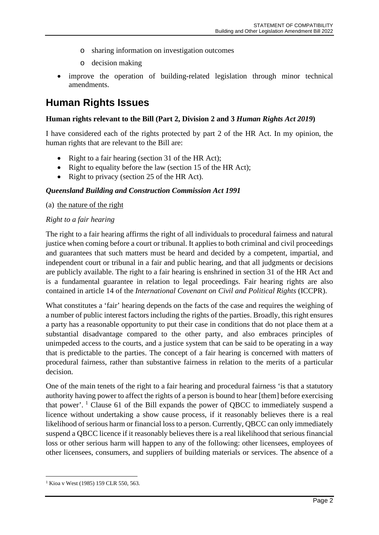- o sharing information on investigation outcomes
- o decision making
- improve the operation of building-related legislation through minor technical amendments.

# **Human Rights Issues**

#### **Human rights relevant to the Bill (Part 2, Division 2 and 3** *Human Rights Act 2019***)**

I have considered each of the rights protected by part 2 of the HR Act. In my opinion, the human rights that are relevant to the Bill are:

- Right to a fair hearing (section 31 of the HR Act);
- Right to equality before the law (section 15 of the HR Act);
- Right to privacy (section 25 of the HR Act).

#### *Queensland Building and Construction Commission Act 1991*

#### (a) the nature of the right

#### *Right to a fair hearing*

The right to a fair hearing affirms the right of all individuals to procedural fairness and natural justice when coming before a court or tribunal. It applies to both criminal and civil proceedings and guarantees that such matters must be heard and decided by a competent, impartial, and independent court or tribunal in a fair and public hearing, and that all judgments or decisions are publicly available. The right to a fair hearing is enshrined in section 31 of the HR Act and is a fundamental guarantee in relation to legal proceedings. Fair hearing rights are also contained in article 14 of the *International Covenant on Civil and Political Rights* (ICCPR).

What constitutes a 'fair' hearing depends on the facts of the case and requires the weighing of a number of public interest factors including the rights of the parties. Broadly, this right ensures a party has a reasonable opportunity to put their case in conditions that do not place them at a substantial disadvantage compared to the other party, and also embraces principles of unimpeded access to the courts, and a justice system that can be said to be operating in a way that is predictable to the parties. The concept of a fair hearing is concerned with matters of procedural fairness, rather than substantive fairness in relation to the merits of a particular decision.

One of the main tenets of the right to a fair hearing and procedural fairness 'is that a statutory authority having power to affect the rights of a person is bound to hear [them] before exercising that power'.  $\frac{1}{1}$  $\frac{1}{1}$  $\frac{1}{1}$  Clause 61 of the Bill expands the power of QBCC to immediately suspend a licence without undertaking a show cause process, if it reasonably believes there is a real likelihood of serious harm or financial loss to a person. Currently, QBCC can only immediately suspend a QBCC licence if it reasonably believes there is a real likelihood that serious financial loss or other serious harm will happen to any of the following: other licensees, employees of other licensees, consumers, and suppliers of building materials or services. The absence of a

<span id="page-1-0"></span><sup>&</sup>lt;sup>1</sup> Kioa v West (1985) 159 CLR 550, 563.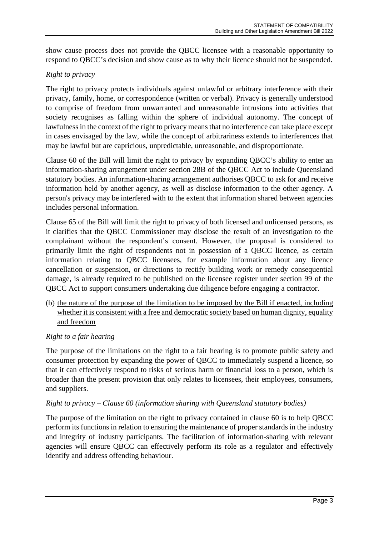show cause process does not provide the QBCC licensee with a reasonable opportunity to respond to QBCC's decision and show cause as to why their licence should not be suspended.

# *Right to privacy*

The right to privacy protects individuals against unlawful or arbitrary interference with their privacy, family, home, or correspondence (written or verbal). Privacy is generally understood to comprise of freedom from unwarranted and unreasonable intrusions into activities that society recognises as falling within the sphere of individual autonomy. The concept of lawfulness in the context of the right to privacy means that no interference can take place except in cases envisaged by the law, while the concept of arbitrariness extends to interferences that may be lawful but are capricious, unpredictable, unreasonable, and disproportionate.

Clause 60 of the Bill will limit the right to privacy by expanding QBCC's ability to enter an information-sharing arrangement under section 28B of the QBCC Act to include Queensland statutory bodies. An information-sharing arrangement authorises QBCC to ask for and receive information held by another agency, as well as disclose information to the other agency. A person's privacy may be interfered with to the extent that information shared between agencies includes personal information.

Clause 65 of the Bill will limit the right to privacy of both licensed and unlicensed persons, as it clarifies that the QBCC Commissioner may disclose the result of an investigation to the complainant without the respondent's consent. However, the proposal is considered to primarily limit the right of respondents not in possession of a QBCC licence, as certain information relating to QBCC licensees, for example information about any licence cancellation or suspension, or directions to rectify building work or remedy consequential damage, is already required to be published on the licensee register under section 99 of the QBCC Act to support consumers undertaking due diligence before engaging a contractor.

(b) the nature of the purpose of the limitation to be imposed by the Bill if enacted, including whether it is consistent with a free and democratic society based on human dignity, equality and freedom

# *Right to a fair hearing*

The purpose of the limitations on the right to a fair hearing is to promote public safety and consumer protection by expanding the power of QBCC to immediately suspend a licence, so that it can effectively respond to risks of serious harm or financial loss to a person, which is broader than the present provision that only relates to licensees, their employees, consumers, and suppliers.

# *Right to privacy – Clause 60 (information sharing with Queensland statutory bodies)*

The purpose of the limitation on the right to privacy contained in clause 60 is to help QBCC perform its functions in relation to ensuring the maintenance of proper standards in the industry and integrity of industry participants. The facilitation of information-sharing with relevant agencies will ensure QBCC can effectively perform its role as a regulator and effectively identify and address offending behaviour.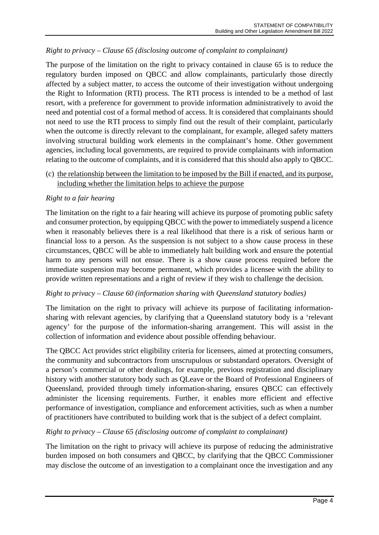# *Right to privacy – Clause 65 (disclosing outcome of complaint to complainant)*

The purpose of the limitation on the right to privacy contained in clause 65 is to reduce the regulatory burden imposed on QBCC and allow complainants, particularly those directly affected by a subject matter, to access the outcome of their investigation without undergoing the Right to Information (RTI) process. The RTI process is intended to be a method of last resort, with a preference for government to provide information administratively to avoid the need and potential cost of a formal method of access. It is considered that complainants should not need to use the RTI process to simply find out the result of their complaint, particularly when the outcome is directly relevant to the complainant, for example, alleged safety matters involving structural building work elements in the complainant's home. Other government agencies, including local governments, are required to provide complainants with information relating to the outcome of complaints, and it is considered that this should also apply to QBCC.

#### (c) the relationship between the limitation to be imposed by the Bill if enacted, and its purpose, including whether the limitation helps to achieve the purpose

#### *Right to a fair hearing*

The limitation on the right to a fair hearing will achieve its purpose of promoting public safety and consumer protection, by equipping QBCC with the power to immediately suspend a licence when it reasonably believes there is a real likelihood that there is a risk of serious harm or financial loss to a person. As the suspension is not subject to a show cause process in these circumstances, QBCC will be able to immediately halt building work and ensure the potential harm to any persons will not ensue. There is a show cause process required before the immediate suspension may become permanent, which provides a licensee with the ability to provide written representations and a right of review if they wish to challenge the decision.

#### *Right to privacy – Clause 60 (information sharing with Queensland statutory bodies)*

The limitation on the right to privacy will achieve its purpose of facilitating informationsharing with relevant agencies, by clarifying that a Queensland statutory body is a 'relevant agency' for the purpose of the information-sharing arrangement. This will assist in the collection of information and evidence about possible offending behaviour.

The QBCC Act provides strict eligibility criteria for licensees, aimed at protecting consumers, the community and subcontractors from unscrupulous or substandard operators. Oversight of a person's commercial or other dealings, for example, previous registration and disciplinary history with another statutory body such as QLeave or the Board of Professional Engineers of Queensland, provided through timely information-sharing, ensures QBCC can effectively administer the licensing requirements. Further, it enables more efficient and effective performance of investigation, compliance and enforcement activities, such as when a number of practitioners have contributed to building work that is the subject of a defect complaint.

#### *Right to privacy – Clause 65 (disclosing outcome of complaint to complainant)*

The limitation on the right to privacy will achieve its purpose of reducing the administrative burden imposed on both consumers and QBCC, by clarifying that the QBCC Commissioner may disclose the outcome of an investigation to a complainant once the investigation and any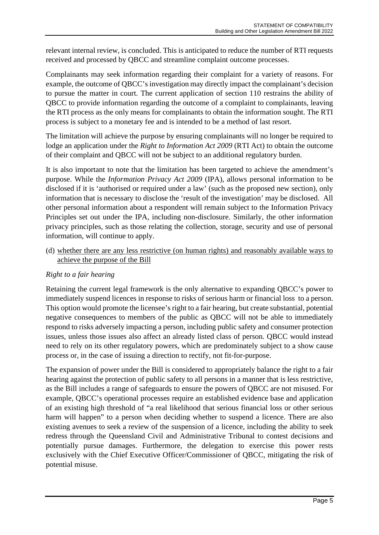relevant internal review, is concluded. This is anticipated to reduce the number of RTI requests received and processed by QBCC and streamline complaint outcome processes.

Complainants may seek information regarding their complaint for a variety of reasons. For example, the outcome of QBCC's investigation may directly impact the complainant's decision to pursue the matter in court. The current application of section 110 restrains the ability of QBCC to provide information regarding the outcome of a complaint to complainants, leaving the RTI process as the only means for complainants to obtain the information sought. The RTI process is subject to a monetary fee and is intended to be a method of last resort.

The limitation will achieve the purpose by ensuring complainants will no longer be required to lodge an application under the *Right to Information Act 2009* (RTI Act) to obtain the outcome of their complaint and QBCC will not be subject to an additional regulatory burden.

It is also important to note that the limitation has been targeted to achieve the amendment's purpose. While the *Information Privacy Act 2009* (IPA), allows personal information to be disclosed if it is 'authorised or required under a law' (such as the proposed new section), only information that is necessary to disclose the 'result of the investigation' may be disclosed. All other personal information about a respondent will remain subject to the Information Privacy Principles set out under the IPA, including non-disclosure. Similarly, the other information privacy principles, such as those relating the collection, storage, security and use of personal information, will continue to apply.

(d) whether there are any less restrictive (on human rights) and reasonably available ways to achieve the purpose of the Bill

# *Right to a fair hearing*

Retaining the current legal framework is the only alternative to expanding QBCC's power to immediately suspend licences in response to risks of serious harm or financial loss to a person. This option would promote the licensee's right to a fair hearing, but create substantial, potential negative consequences to members of the public as QBCC will not be able to immediately respond to risks adversely impacting a person, including public safety and consumer protection issues, unless those issues also affect an already listed class of person. QBCC would instead need to rely on its other regulatory powers, which are predominately subject to a show cause process or, in the case of issuing a direction to rectify, not fit-for-purpose.

The expansion of power under the Bill is considered to appropriately balance the right to a fair hearing against the protection of public safety to all persons in a manner that is less restrictive, as the Bill includes a range of safeguards to ensure the powers of QBCC are not misused. For example, QBCC's operational processes require an established evidence base and application of an existing high threshold of "a real likelihood that serious financial loss or other serious harm will happen" to a person when deciding whether to suspend a licence. There are also existing avenues to seek a review of the suspension of a licence, including the ability to seek redress through the Queensland Civil and Administrative Tribunal to contest decisions and potentially pursue damages. Furthermore, the delegation to exercise this power rests exclusively with the Chief Executive Officer/Commissioner of QBCC, mitigating the risk of potential misuse.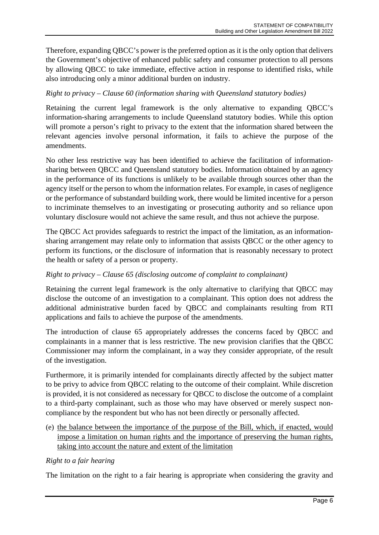Therefore, expanding QBCC's power is the preferred option as it is the only option that delivers the Government's objective of enhanced public safety and consumer protection to all persons by allowing QBCC to take immediate, effective action in response to identified risks, while also introducing only a minor additional burden on industry.

#### *Right to privacy – Clause 60 (information sharing with Queensland statutory bodies)*

Retaining the current legal framework is the only alternative to expanding QBCC's information-sharing arrangements to include Queensland statutory bodies. While this option will promote a person's right to privacy to the extent that the information shared between the relevant agencies involve personal information, it fails to achieve the purpose of the amendments.

No other less restrictive way has been identified to achieve the facilitation of informationsharing between QBCC and Queensland statutory bodies. Information obtained by an agency in the performance of its functions is unlikely to be available through sources other than the agency itself or the person to whom the information relates. For example, in cases of negligence or the performance of substandard building work, there would be limited incentive for a person to incriminate themselves to an investigating or prosecuting authority and so reliance upon voluntary disclosure would not achieve the same result, and thus not achieve the purpose.

The QBCC Act provides safeguards to restrict the impact of the limitation, as an informationsharing arrangement may relate only to information that assists QBCC or the other agency to perform its functions, or the disclosure of information that is reasonably necessary to protect the health or safety of a person or property.

#### *Right to privacy – Clause 65 (disclosing outcome of complaint to complainant)*

Retaining the current legal framework is the only alternative to clarifying that QBCC may disclose the outcome of an investigation to a complainant. This option does not address the additional administrative burden faced by QBCC and complainants resulting from RTI applications and fails to achieve the purpose of the amendments.

The introduction of clause 65 appropriately addresses the concerns faced by QBCC and complainants in a manner that is less restrictive. The new provision clarifies that the QBCC Commissioner may inform the complainant, in a way they consider appropriate, of the result of the investigation.

Furthermore, it is primarily intended for complainants directly affected by the subject matter to be privy to advice from QBCC relating to the outcome of their complaint. While discretion is provided, it is not considered as necessary for QBCC to disclose the outcome of a complaint to a third-party complainant, such as those who may have observed or merely suspect noncompliance by the respondent but who has not been directly or personally affected.

(e) the balance between the importance of the purpose of the Bill, which, if enacted, would impose a limitation on human rights and the importance of preserving the human rights, taking into account the nature and extent of the limitation

#### *Right to a fair hearing*

The limitation on the right to a fair hearing is appropriate when considering the gravity and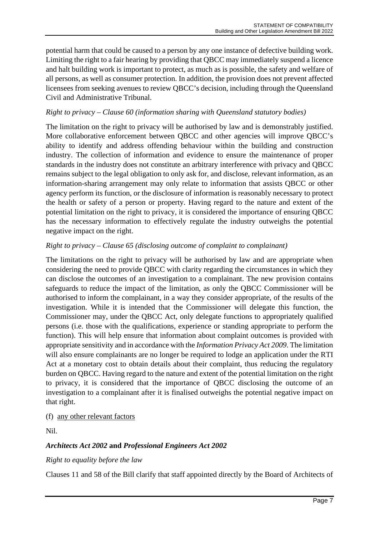potential harm that could be caused to a person by any one instance of defective building work. Limiting the right to a fair hearing by providing that QBCC may immediately suspend a licence and halt building work is important to protect, as much as is possible, the safety and welfare of all persons, as well as consumer protection. In addition, the provision does not prevent affected licensees from seeking avenues to review QBCC's decision, including through the Queensland Civil and Administrative Tribunal.

# *Right to privacy – Clause 60 (information sharing with Queensland statutory bodies)*

The limitation on the right to privacy will be authorised by law and is demonstrably justified. More collaborative enforcement between QBCC and other agencies will improve QBCC's ability to identify and address offending behaviour within the building and construction industry. The collection of information and evidence to ensure the maintenance of proper standards in the industry does not constitute an arbitrary interference with privacy and QBCC remains subject to the legal obligation to only ask for, and disclose, relevant information, as an information-sharing arrangement may only relate to information that assists QBCC or other agency perform its function, or the disclosure of information is reasonably necessary to protect the health or safety of a person or property. Having regard to the nature and extent of the potential limitation on the right to privacy, it is considered the importance of ensuring QBCC has the necessary information to effectively regulate the industry outweighs the potential negative impact on the right.

# *Right to privacy – Clause 65 (disclosing outcome of complaint to complainant)*

The limitations on the right to privacy will be authorised by law and are appropriate when considering the need to provide QBCC with clarity regarding the circumstances in which they can disclose the outcomes of an investigation to a complainant. The new provision contains safeguards to reduce the impact of the limitation, as only the QBCC Commissioner will be authorised to inform the complainant, in a way they consider appropriate, of the results of the investigation. While it is intended that the Commissioner will delegate this function, the Commissioner may, under the QBCC Act, only delegate functions to appropriately qualified persons (i.e. those with the qualifications, experience or standing appropriate to perform the function). This will help ensure that information about complaint outcomes is provided with appropriate sensitivity and in accordance with the *Information Privacy Act 2009*. The limitation will also ensure complainants are no longer be required to lodge an application under the RTI Act at a monetary cost to obtain details about their complaint, thus reducing the regulatory burden on QBCC. Having regard to the nature and extent of the potential limitation on the right to privacy, it is considered that the importance of QBCC disclosing the outcome of an investigation to a complainant after it is finalised outweighs the potential negative impact on that right.

# (f) any other relevant factors

Nil.

# *Architects Act 2002* **and** *Professional Engineers Act 2002*

# *Right to equality before the law*

Clauses 11 and 58 of the Bill clarify that staff appointed directly by the Board of Architects of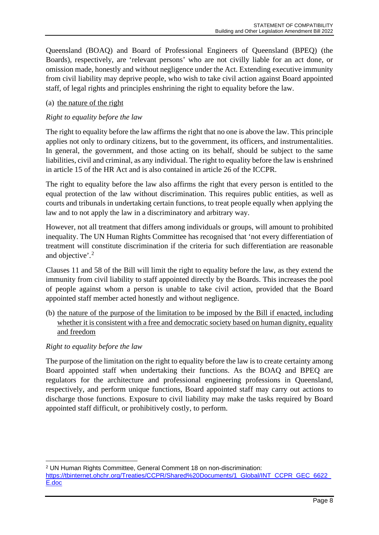Queensland (BOAQ) and Board of Professional Engineers of Queensland (BPEQ) (the Boards), respectively, are 'relevant persons' who are not civilly liable for an act done, or omission made, honestly and without negligence under the Act. Extending executive immunity from civil liability may deprive people, who wish to take civil action against Board appointed staff, of legal rights and principles enshrining the right to equality before the law.

# (a) the nature of the right

# *Right to equality before the law*

The right to equality before the law affirms the right that no one is above the law. This principle applies not only to ordinary citizens, but to the government, its officers, and instrumentalities. In general, the government, and those acting on its behalf, should be subject to the same liabilities, civil and criminal, as any individual. The right to equality before the law is enshrined in article 15 of the HR Act and is also contained in article 26 of the ICCPR.

The right to equality before the law also affirms the right that every person is entitled to the equal protection of the law without discrimination. This requires public entities, as well as courts and tribunals in undertaking certain functions, to treat people equally when applying the law and to not apply the law in a discriminatory and arbitrary way.

However, not all treatment that differs among individuals or groups, will amount to prohibited inequality. The UN Human Rights Committee has recognised that 'not every differentiation of treatment will constitute discrimination if the criteria for such differentiation are reasonable and objective'.[2](#page-7-0)

Clauses 11 and 58 of the Bill will limit the right to equality before the law, as they extend the immunity from civil liability to staff appointed directly by the Boards. This increases the pool of people against whom a person is unable to take civil action, provided that the Board appointed staff member acted honestly and without negligence.

(b) the nature of the purpose of the limitation to be imposed by the Bill if enacted, including whether it is consistent with a free and democratic society based on human dignity, equality and freedom

# *Right to equality before the law*

The purpose of the limitation on the right to equality before the law is to create certainty among Board appointed staff when undertaking their functions. As the BOAQ and BPEQ are regulators for the architecture and professional engineering professions in Queensland, respectively, and perform unique functions, Board appointed staff may carry out actions to discharge those functions. Exposure to civil liability may make the tasks required by Board appointed staff difficult, or prohibitively costly, to perform.

<span id="page-7-0"></span><sup>2</sup> UN Human Rights Committee, General Comment 18 on non-discrimination:

https://tbinternet.ohchr.org/Treaties/CCPR/Shared%20Documents/1\_Global/INT\_CCPR\_GEC\_6622 [E.doc](https://tbinternet.ohchr.org/Treaties/CCPR/Shared%20Documents/1_Global/INT_CCPR_GEC_6622_E.doc)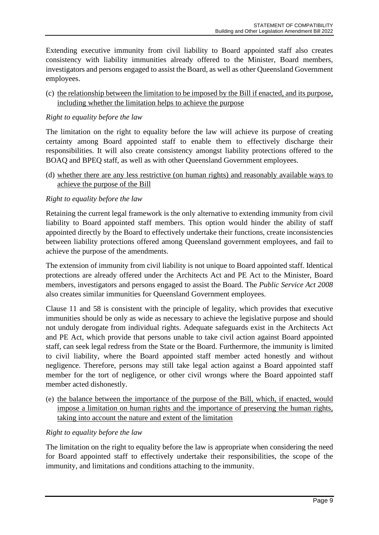Extending executive immunity from civil liability to Board appointed staff also creates consistency with liability immunities already offered to the Minister, Board members, investigators and persons engaged to assist the Board, as well as other Queensland Government employees.

(c) the relationship between the limitation to be imposed by the Bill if enacted, and its purpose, including whether the limitation helps to achieve the purpose

# *Right to equality before the law*

The limitation on the right to equality before the law will achieve its purpose of creating certainty among Board appointed staff to enable them to effectively discharge their responsibilities. It will also create consistency amongst liability protections offered to the BOAQ and BPEQ staff, as well as with other Queensland Government employees.

(d) whether there are any less restrictive (on human rights) and reasonably available ways to achieve the purpose of the Bill

#### *Right to equality before the law*

Retaining the current legal framework is the only alternative to extending immunity from civil liability to Board appointed staff members. This option would hinder the ability of staff appointed directly by the Board to effectively undertake their functions, create inconsistencies between liability protections offered among Queensland government employees, and fail to achieve the purpose of the amendments.

The extension of immunity from civil liability is not unique to Board appointed staff. Identical protections are already offered under the Architects Act and PE Act to the Minister, Board members, investigators and persons engaged to assist the Board. The *Public Service Act 2008* also creates similar immunities for Queensland Government employees.

Clause 11 and 58 is consistent with the principle of legality, which provides that executive immunities should be only as wide as necessary to achieve the legislative purpose and should not unduly derogate from individual rights. Adequate safeguards exist in the Architects Act and PE Act, which provide that persons unable to take civil action against Board appointed staff, can seek legal redress from the State or the Board. Furthermore, the immunity is limited to civil liability, where the Board appointed staff member acted honestly and without negligence. Therefore, persons may still take legal action against a Board appointed staff member for the tort of negligence, or other civil wrongs where the Board appointed staff member acted dishonestly.

(e) the balance between the importance of the purpose of the Bill, which, if enacted, would impose a limitation on human rights and the importance of preserving the human rights, taking into account the nature and extent of the limitation

#### *Right to equality before the law*

The limitation on the right to equality before the law is appropriate when considering the need for Board appointed staff to effectively undertake their responsibilities, the scope of the immunity, and limitations and conditions attaching to the immunity.